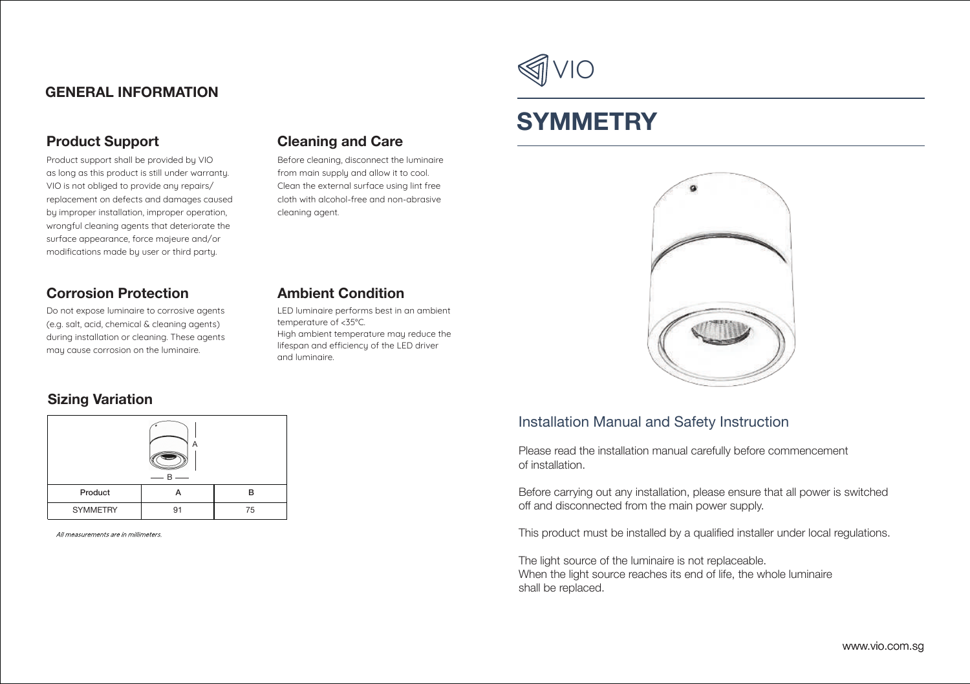# **GENERAL INFORMATION**

# **Product Support**

Product support shall be provided by VIO as long as this product is still under warranty. VIO is not obliged to provide any repairs/ replacement on defects and damages caused by improper installation, improper operation, wrongful cleaning agents that deteriorate the surface appearance, force majeure and/or modifications made by user or third party.

## **Corrosion Protection**

Do not expose luminaire to corrosive agents (e.g. salt, acid, chemical & cleaning agents) during installation or cleaning. These agents may cause corrosion on the luminaire.

### **Sizing Variation**



All measurements are in millimeters.



Before cleaning, disconnect the luminaire from main supply and allow it to cool. Clean the external surface using lint free cloth with alcohol-free and non-abrasive cleaning agent.

# **Ambient Condition**

LED luminaire performs best in an ambient temperature of <35°C. High ambient temperature may reduce the lifespan and efficiency of the LED driver and luminaire.



# **SYMMETRY**



# Installation Manual and Safety Instruction

Please read the installation manual carefully before commencement of installation.

Before carrying out any installation, please ensure that all power is switched off and disconnected from the main power supply.

This product must be installed by a qualified installer under local regulations.

The light source of the luminaire is not replaceable. When the light source reaches its end of life, the whole luminaire shall be replaced.